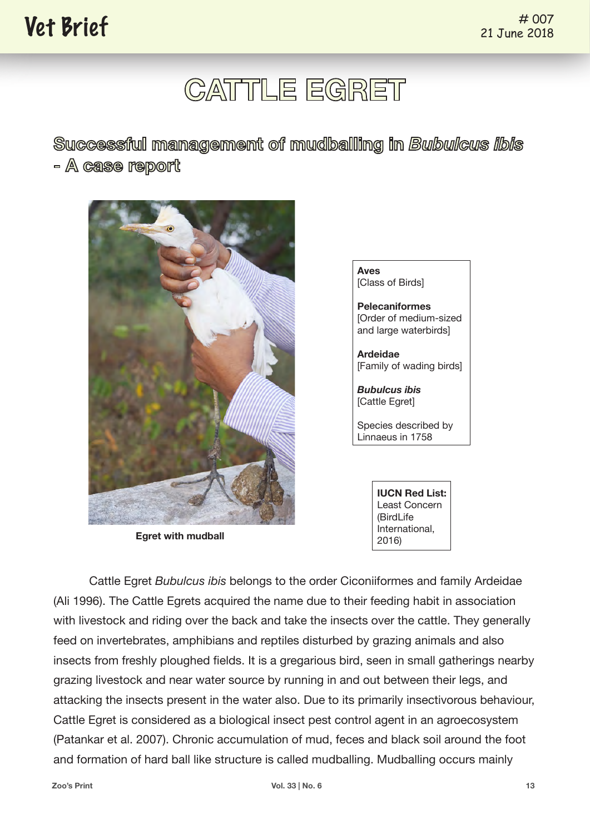# **CATTLE EGRET**

**Successful management of mudballing in** *Bubulcus ibis* **- A case report**



**Egret with mudball**

**Aves** [Class of Birds] **Pelecaniformes** [Order of medium-sized and large waterbirds]

**Ardeidae** [Family of wading birds]

*Bubulcus ibis* [Cattle Egret]

Species described by Linnaeus in 1758

> **IUCN Red List:** Least Concern (BirdLife International, 2016)

Cattle Egret *Bubulcus ibis* belongs to the order Ciconiiformes and family Ardeidae (Ali 1996). The Cattle Egrets acquired the name due to their feeding habit in association with livestock and riding over the back and take the insects over the cattle. They generally feed on invertebrates, amphibians and reptiles disturbed by grazing animals and also insects from freshly ploughed fields. It is a gregarious bird, seen in small gatherings nearby grazing livestock and near water source by running in and out between their legs, and attacking the insects present in the water also. Due to its primarily insectivorous behaviour, Cattle Egret is considered as a biological insect pest control agent in an agroecosystem (Patankar et al. 2007). Chronic accumulation of mud, feces and black soil around the foot and formation of hard ball like structure is called mudballing. Mudballing occurs mainly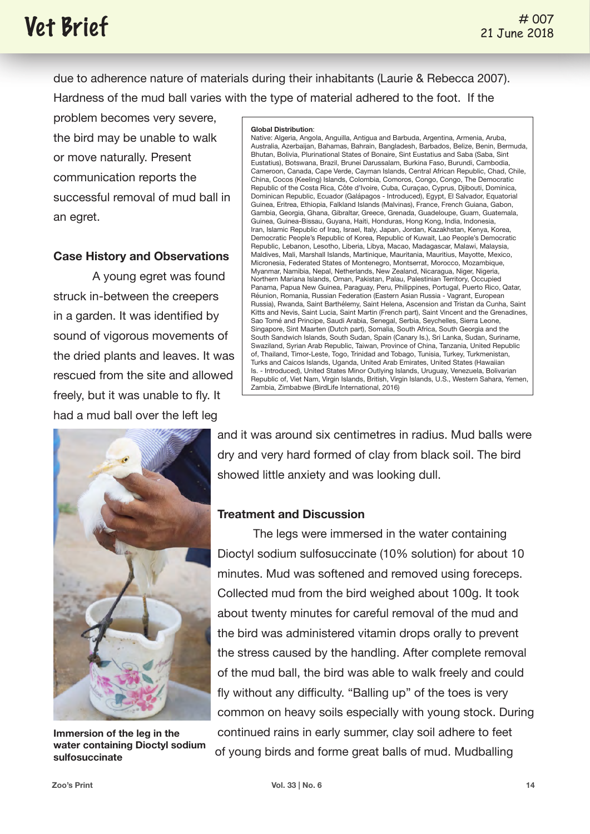## $*$  **007**

due to adherence nature of materials during their inhabitants (Laurie & Rebecca 2007). Hardness of the mud ball varies with the type of material adhered to the foot. If the

problem becomes very severe, the bird may be unable to walk or move naturally. Present communication reports the successful removal of mud ball in an egret.

### **Case History and Observations**

 A young egret was found struck in-between the creepers in a garden. It was identified by sound of vigorous movements of the dried plants and leaves. It was rescued from the site and allowed freely, but it was unable to fly. It had a mud ball over the left leg



**Immersion of the leg in the water containing Dioctyl sodium sulfosuccinate**

#### **Global Distribution**:

Native: Algeria, Angola, Anguilla, Antigua and Barbuda, Argentina, Armenia, Aruba, Australia, Azerbaijan, Bahamas, Bahrain, Bangladesh, Barbados, Belize, Benin, Bermuda, Bhutan, Bolivia, Plurinational States of Bonaire, Sint Eustatius and Saba (Saba, Sint Eustatius), Botswana, Brazil, Brunei Darussalam, Burkina Faso, Burundi, Cambodia, Cameroon, Canada, Cape Verde, Cayman Islands, Central African Republic, Chad, Chile, China, Cocos (Keeling) Islands, Colombia, Comoros, Congo, Congo, The Democratic Republic of the Costa Rica, Côte d'Ivoire, Cuba, Curaçao, Cyprus, Djibouti, Dominica, Dominican Republic, Ecuador (Galápagos - Introduced), Egypt, El Salvador, Equatorial Guinea, Eritrea, Ethiopia, Falkland Islands (Malvinas), France, French Guiana, Gabon, Gambia, Georgia, Ghana, Gibraltar, Greece, Grenada, Guadeloupe, Guam, Guatemala, Guinea, Guinea-Bissau, Guyana, Haiti, Honduras, Hong Kong, India, Indonesia, Iran, Islamic Republic of Iraq, Israel, Italy, Japan, Jordan, Kazakhstan, Kenya, Korea, Democratic People's Republic of Korea, Republic of Kuwait, Lao People's Democratic Republic, Lebanon, Lesotho, Liberia, Libya, Macao, Madagascar, Malawi, Malaysia, Maldives, Mali, Marshall Islands, Martinique, Mauritania, Mauritius, Mayotte, Mexico, Micronesia, Federated States of Montenegro, Montserrat, Morocco, Mozambique, Myanmar, Namibia, Nepal, Netherlands, New Zealand, Nicaragua, Niger, Nigeria, Northern Mariana Islands, Oman, Pakistan, Palau, Palestinian Territory, Occupied Panama, Papua New Guinea, Paraguay, Peru, Philippines, Portugal, Puerto Rico, Qatar, Réunion, Romania, Russian Federation (Eastern Asian Russia - Vagrant, European Russia), Rwanda, Saint Barthélemy, Saint Helena, Ascension and Tristan da Cunha, Saint Kitts and Nevis, Saint Lucia, Saint Martin (French part), Saint Vincent and the Grenadines, Sao Tomé and Principe, Saudi Arabia, Senegal, Serbia, Seychelles, Sierra Leone, Singapore, Sint Maarten (Dutch part), Somalia, South Africa, South Georgia and the South Sandwich Islands, South Sudan, Spain (Canary Is.), Sri Lanka, Sudan, Suriname, Swaziland, Syrian Arab Republic, Taiwan, Province of China, Tanzania, United Republic of, Thailand, Timor-Leste, Togo, Trinidad and Tobago, Tunisia, Turkey, Turkmenistan, Turks and Caicos Islands, Uganda, United Arab Emirates, United States (Hawaiian Is. - Introduced), United States Minor Outlying Islands, Uruguay, Venezuela, Bolivarian Republic of, Viet Nam, Virgin Islands, British, Virgin Islands, U.S., Western Sahara, Yemen, Zambia, Zimbabwe (BirdLife International, 2016)

and it was around six centimetres in radius. Mud balls were dry and very hard formed of clay from black soil. The bird showed little anxiety and was looking dull.

#### **Treatment and Discussion**

The legs were immersed in the water containing Dioctyl sodium sulfosuccinate (10% solution) for about 10 minutes. Mud was softened and removed using foreceps. Collected mud from the bird weighed about 100g. It took about twenty minutes for careful removal of the mud and the bird was administered vitamin drops orally to prevent the stress caused by the handling. After complete removal of the mud ball, the bird was able to walk freely and could fly without any difficulty. "Balling up" of the toes is very common on heavy soils especially with young stock. During continued rains in early summer, clay soil adhere to feet of young birds and forme great balls of mud. Mudballing